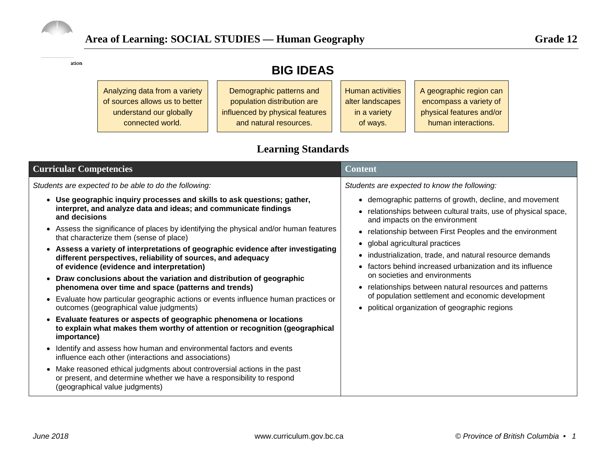

ation

# **BIG IDEAS**

| Analyzing data from a variety  | Demographic patterns and        | <b>Human activities</b> | A geographic region can  |
|--------------------------------|---------------------------------|-------------------------|--------------------------|
| of sources allows us to better | population distribution are     | alter landscapes        | encompass a variety of   |
| understand our globally        | influenced by physical features | in a variety            | physical features and/or |
| connected world.               | and natural resources.          | of ways.                | human interactions.      |
|                                |                                 |                         |                          |

## **Learning Standards**

| <b>Curricular Competencies</b>                                                                                                                                                                                                                                                                                                                                                                                                                                                                                                                                                                                                                                                                                                                                                                                                                                                                                                                                                                        | <b>Content</b>                                                                                                                                                                                                                                                                                                                                                                                                                                                                                                                                                                                                                         |  |  |  |
|-------------------------------------------------------------------------------------------------------------------------------------------------------------------------------------------------------------------------------------------------------------------------------------------------------------------------------------------------------------------------------------------------------------------------------------------------------------------------------------------------------------------------------------------------------------------------------------------------------------------------------------------------------------------------------------------------------------------------------------------------------------------------------------------------------------------------------------------------------------------------------------------------------------------------------------------------------------------------------------------------------|----------------------------------------------------------------------------------------------------------------------------------------------------------------------------------------------------------------------------------------------------------------------------------------------------------------------------------------------------------------------------------------------------------------------------------------------------------------------------------------------------------------------------------------------------------------------------------------------------------------------------------------|--|--|--|
| Students are expected to be able to do the following:<br>• Use geographic inquiry processes and skills to ask questions; gather,<br>interpret, and analyze data and ideas; and communicate findings<br>and decisions<br>• Assess the significance of places by identifying the physical and/or human features<br>that characterize them (sense of place)<br>Assess a variety of interpretations of geographic evidence after investigating<br>$\bullet$<br>different perspectives, reliability of sources, and adequacy<br>of evidence (evidence and interpretation)<br>• Draw conclusions about the variation and distribution of geographic<br>phenomena over time and space (patterns and trends)<br>Evaluate how particular geographic actions or events influence human practices or<br>$\bullet$<br>outcomes (geographical value judgments)<br>Evaluate features or aspects of geographic phenomena or locations<br>to explain what makes them worthy of attention or recognition (geographical | Students are expected to know the following:<br>• demographic patterns of growth, decline, and movement<br>• relationships between cultural traits, use of physical space,<br>and impacts on the environment<br>• relationship between First Peoples and the environment<br>• global agricultural practices<br>• industrialization, trade, and natural resource demands<br>• factors behind increased urbanization and its influence<br>on societies and environments<br>• relationships between natural resources and patterns<br>of population settlement and economic development<br>• political organization of geographic regions |  |  |  |
| importance)<br>Identify and assess how human and environmental factors and events<br>influence each other (interactions and associations)<br>• Make reasoned ethical judgments about controversial actions in the past<br>or present, and determine whether we have a responsibility to respond<br>(geographical value judgments)                                                                                                                                                                                                                                                                                                                                                                                                                                                                                                                                                                                                                                                                     |                                                                                                                                                                                                                                                                                                                                                                                                                                                                                                                                                                                                                                        |  |  |  |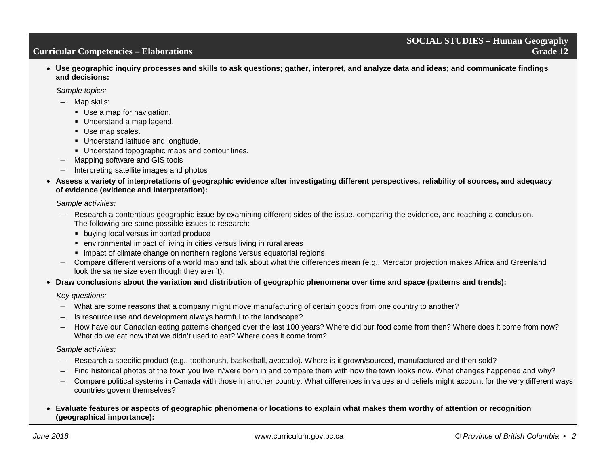• **Use geographic inquiry processes and skills to ask questions; gather, interpret, and analyze data and ideas; and communicate findings and decisions:**

*Sample topics:*

- Map skills:
	- Use a map for navigation.
	- Understand a map legend.
	- Use map scales.
	- **Understand latitude and longitude.**
	- **Understand topographic maps and contour lines.**
- Mapping software and GIS tools
- Interpreting satellite images and photos
- **Assess a variety of interpretations of geographic evidence after investigating different perspectives, reliability of sources, and adequacy of evidence (evidence and interpretation):**

*Sample activities:*

- Research a contentious geographic issue by examining different sides of the issue, comparing the evidence, and reaching a conclusion. The following are some possible issues to research:
	- **•** buying local versus imported produce
	- environmental impact of living in cities versus living in rural areas
	- impact of climate change on northern regions versus equatorial regions
- Compare different versions of a world map and talk about what the differences mean (e.g., Mercator projection makes Africa and Greenland look the same size even though they aren't).
- **Draw conclusions about the variation and distribution of geographic phenomena over time and space (patterns and trends):**

*Key questions:*

- What are some reasons that a company might move manufacturing of certain goods from one country to another?
- Is resource use and development always harmful to the landscape?
- How have our Canadian eating patterns changed over the last 100 years? Where did our food come from then? Where does it come from now? What do we eat now that we didn't used to eat? Where does it come from?

*Sample activities:*

- Research a specific product (e.g., toothbrush, basketball, avocado). Where is it grown/sourced, manufactured and then sold?
- Find historical photos of the town you live in/were born in and compare them with how the town looks now. What changes happened and why?
- Compare political systems in Canada with those in another country. What differences in values and beliefs might account for the very different ways countries govern themselves?
- **Evaluate features or aspects of geographic phenomena or locations to explain what makes them worthy of attention or recognition (geographical importance):**